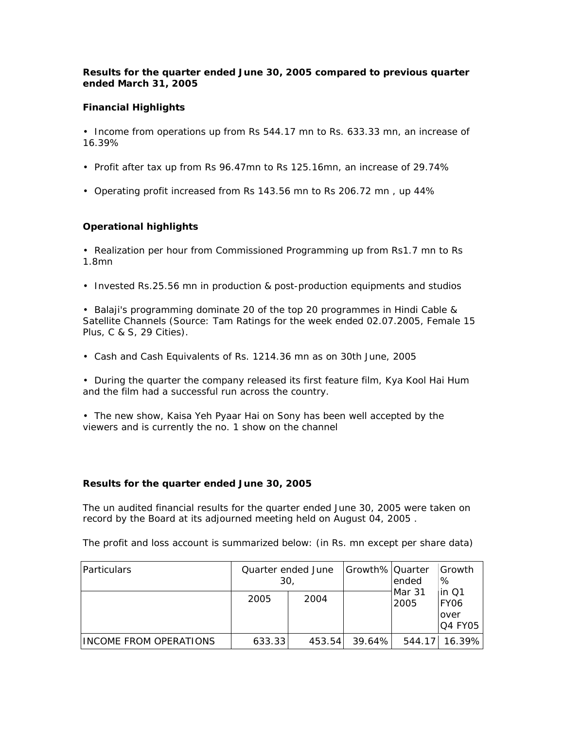## *Results for the quarter ended June 30, 2005 compared to previous quarter ended March 31, 2005*

## **Financial Highlights**

• Income from operations up from Rs 544.17 mn to Rs. 633.33 mn, an increase of 16.39%

- Profit after tax up from Rs 96.47mn to Rs 125.16mn, an increase of 29.74%
- Operating profit increased from Rs 143.56 mn to Rs 206.72 mn , up 44%

## **Operational highlights**

• Realization per hour from Commissioned Programming up from Rs1.7 mn to Rs 1.8mn

• Invested Rs.25.56 mn in production & post-production equipments and studios

• Balaji's programming dominate 20 of the top 20 programmes in Hindi Cable & Satellite Channels (Source: Tam Ratings for the week ended 02.07.2005, Female 15 Plus, C & S, 29 Cities).

• Cash and Cash Equivalents of Rs. 1214.36 mn as on 30th June, 2005

• During the quarter the company released its first feature film, Kya Kool Hai Hum and the film had a successful run across the country.

• The new show, Kaisa Yeh Pyaar Hai on Sony has been well accepted by the viewers and is currently the no. 1 show on the channel

## **Results for the quarter ended June 30, 2005**

The un audited financial results for the quarter ended June 30, 2005 were taken on record by the Board at its adjourned meeting held on August 04, 2005 .

The profit and loss account is summarized below: (in Rs. mn except per share data)

| Particulars            | Quarter ended June<br>30. |         | Growth% Quarter | ended          | l Growth<br>%                                   |
|------------------------|---------------------------|---------|-----------------|----------------|-------------------------------------------------|
|                        | 2005                      | 2004    |                 | Mar 31<br>2005 | $\ln 01$<br>FY <sub>06</sub><br>over<br>Q4 FY05 |
| INCOME FROM OPERATIONS | 633.33                    | 453.541 | 39.64%I         |                | 544.17 16.39%                                   |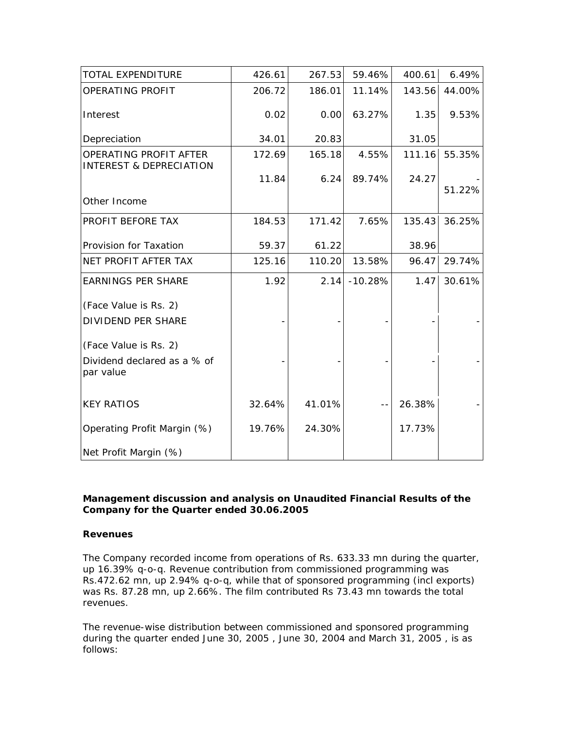| <b>TOTAL EXPENDITURE</b>                                     | 426.61 | 267.53 | 59.46%    | 400.61 | 6.49%  |
|--------------------------------------------------------------|--------|--------|-----------|--------|--------|
| OPERATING PROFIT                                             | 206.72 | 186.01 | 11.14%    | 143.56 | 44.00% |
| Interest                                                     | 0.02   | 0.00   | 63.27%    | 1.35   | 9.53%  |
| Depreciation                                                 | 34.01  | 20.83  |           | 31.05  |        |
| OPERATING PROFIT AFTER<br><b>INTEREST &amp; DEPRECIATION</b> | 172.69 | 165.18 | 4.55%     | 111.16 | 55.35% |
|                                                              | 11.84  | 6.24   | 89.74%    | 24.27  | 51.22% |
| Other Income                                                 |        |        |           |        |        |
| PROFIT BEFORE TAX                                            | 184.53 | 171.42 | 7.65%     | 135.43 | 36.25% |
| Provision for Taxation                                       | 59.37  | 61.22  |           | 38.96  |        |
| NET PROFIT AFTER TAX                                         | 125.16 | 110.20 | 13.58%    | 96.47  | 29.74% |
| <b>EARNINGS PER SHARE</b>                                    | 1.92   | 2.14   | $-10.28%$ | 1.47   | 30.61% |
| (Face Value is Rs. 2)                                        |        |        |           |        |        |
| <b>DIVIDEND PER SHARE</b>                                    |        |        |           |        |        |
| (Face Value is Rs. 2)                                        |        |        |           |        |        |
| Dividend declared as a % of<br>par value                     |        |        |           |        |        |
| <b>KEY RATIOS</b>                                            | 32.64% | 41.01% | $- -$     | 26.38% |        |
| Operating Profit Margin (%)                                  | 19.76% | 24.30% |           | 17.73% |        |
| Net Profit Margin (%)                                        |        |        |           |        |        |

## *Management discussion and analysis on Unaudited Financial Results of the Company for the Quarter ended 30.06.2005*

## **Revenues**

The Company recorded income from operations of Rs. 633.33 mn during the quarter, up 16.39% q-o-q. Revenue contribution from commissioned programming was Rs.472.62 mn, up 2.94% q-o-q, while that of sponsored programming (incl exports) was Rs. 87.28 mn, up 2.66%. The film contributed Rs 73.43 mn towards the total revenues.

The revenue-wise distribution between commissioned and sponsored programming during the quarter ended June 30, 2005 , June 30, 2004 and March 31, 2005 , is as follows: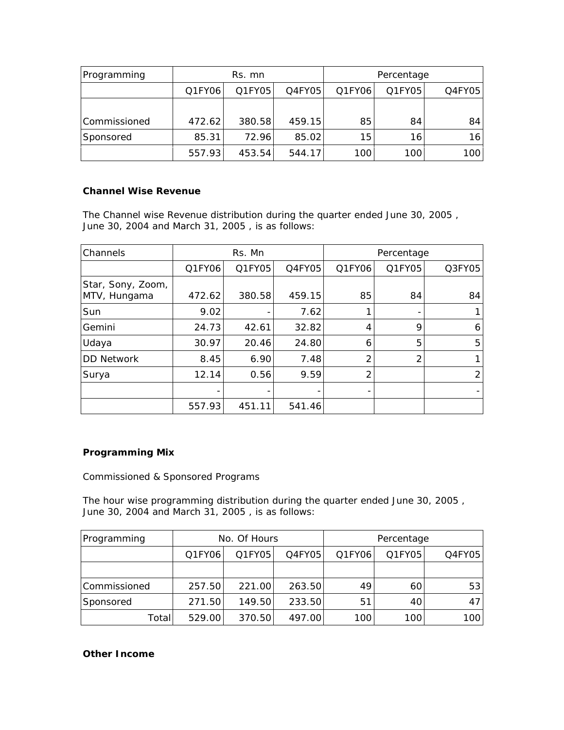| Programming  | Rs. mn |        |           | Percentage |        |        |
|--------------|--------|--------|-----------|------------|--------|--------|
|              | Q1FY06 | Q1FY05 | $Q4$ FY05 | Q1FY06     | Q1FY05 | Q4FY05 |
|              |        |        |           |            |        |        |
| Commissioned | 472.62 | 380.58 | 459.15    | 85         | 84     | 84     |
| Sponsored    | 85.31  | 72.96  | 85.02     | 15         | 16     | 16     |
|              | 557.93 | 453.54 | 544.17    | 100        | 100    | 100    |

## **Channel Wise Revenue**

The Channel wise Revenue distribution during the quarter ended June 30, 2005 , June 30, 2004 and March 31, 2005 , is as follows:

| Channels                          | Rs. Mn |        |        | Percentage |        |        |
|-----------------------------------|--------|--------|--------|------------|--------|--------|
|                                   | Q1FY06 | Q1FY05 | Q4FY05 | Q1FY06     | Q1FY05 | Q3FY05 |
| Star, Sony, Zoom,<br>MTV, Hungama | 472.62 | 380.58 | 459.15 | 85         | 84     | 84     |
| Sun                               | 9.02   |        | 7.62   |            |        |        |
| Gemini                            | 24.73  | 42.61  | 32.82  | 4          | 9      | 6      |
| Udaya                             | 30.97  | 20.46  | 24.80  | 6          | 5      | 5      |
| <b>DD Network</b>                 | 8.45   | 6.90   | 7.48   | 2          | 2      |        |
| Surya                             | 12.14  | 0.56   | 9.59   | 2          |        | 2      |
|                                   |        |        |        |            |        |        |
|                                   | 557.93 | 451.11 | 541.46 |            |        |        |

# **Programming Mix**

Commissioned & Sponsored Programs

The hour wise programming distribution during the quarter ended June 30, 2005 , June 30, 2004 and March 31, 2005 , is as follows:

| Programming  | No. Of Hours |        |        | Percentage |        |        |
|--------------|--------------|--------|--------|------------|--------|--------|
|              | Q1FY06       | Q1FY05 | Q4FY05 | Q1FY06     | Q1FY05 | Q4FY05 |
|              |              |        |        |            |        |        |
| Commissioned | 257.50       | 221.00 | 263.50 | 49         | 60     | 53     |
| Sponsored    | 271.50       | 149.50 | 233.50 | 51         | 40     | 47     |
| Total        | 529.00       | 370.50 | 497.00 | 100        | 100    | 100    |

# **Other Income**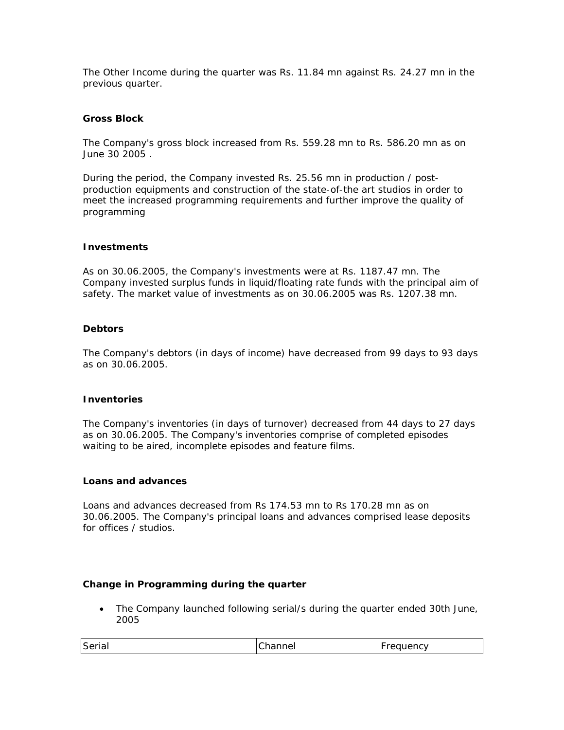The Other Income during the quarter was Rs. 11.84 mn against Rs. 24.27 mn in the previous quarter.

### **Gross Block**

The Company's gross block increased from Rs. 559.28 mn to Rs. 586.20 mn as on June 30 2005 .

During the period, the Company invested Rs. 25.56 mn in production / postproduction equipments and construction of the state-of-the art studios in order to meet the increased programming requirements and further improve the quality of programming

#### **Investments**

As on 30.06.2005, the Company's investments were at Rs. 1187.47 mn. The Company invested surplus funds in liquid/floating rate funds with the principal aim of safety. *The market value of investments as on 30.06.2005 was Rs. 1207.38 mn.* 

### **Debtors**

The Company's debtors (in days of income) have decreased from 99 days to 93 days as on 30.06.2005.

#### **Inventories**

The Company's inventories (in days of turnover) decreased from 44 days to 27 days as on 30.06.2005. The Company's inventories comprise of completed episodes waiting to be aired, incomplete episodes and feature films.

### **Loans and advances**

Loans and advances decreased from Rs 174.53 mn to Rs 170.28 mn as on 30.06.2005. The Company's principal loans and advances comprised lease deposits for offices / studios.

#### **Change in Programming during the quarter**

• The Company launched following serial/s during the quarter ended 30th June, 2005

| Serial | `hannel | Frequency<br>- |
|--------|---------|----------------|
|--------|---------|----------------|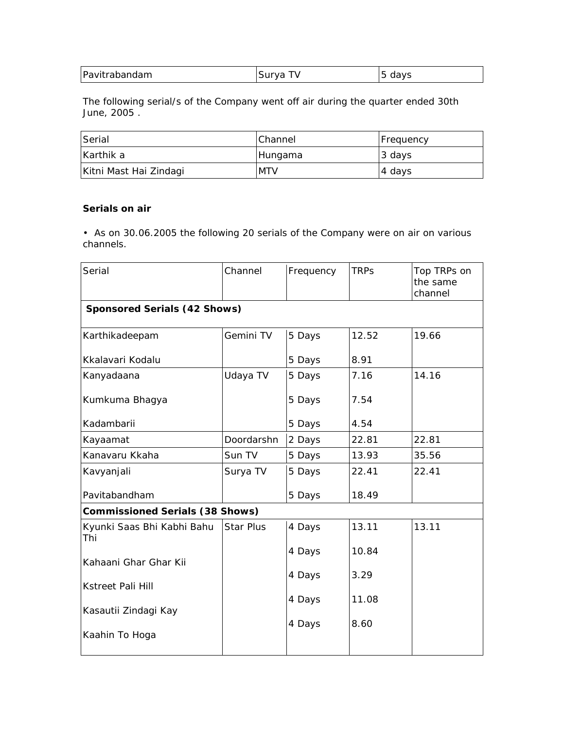| Pavitrabandam | Surva | days |
|---------------|-------|------|
|---------------|-------|------|

The following serial/s of the Company went off air during the quarter ended 30th June, 2005 .

| Serial                 | <b>IChannel</b> | Frequency |
|------------------------|-----------------|-----------|
| Karthik a              | Hungama         | 13 days   |
| Kitni Mast Hai Zindagi | <b>MTV</b>      | 4 days    |

# **Serials on air**

• As on 30.06.2005 the following 20 serials of the Company were on air on various channels.

| Serial                                 | Channel    | Frequency | <b>TRPs</b> | Top TRPs on<br>the same<br>channel |
|----------------------------------------|------------|-----------|-------------|------------------------------------|
| <b>Sponsored Serials (42 Shows)</b>    |            |           |             |                                    |
| Karthikadeepam                         | Gemini TV  | 5 Days    | 12.52       | 19.66                              |
| Kkalavari Kodalu                       |            | 5 Days    | 8.91        |                                    |
| Kanyadaana                             | Udaya TV   | 5 Days    | 7.16        | 14.16                              |
| Kumkuma Bhagya                         |            | 5 Days    | 7.54        |                                    |
| Kadambarii                             |            | 5 Days    | 4.54        |                                    |
| Kayaamat                               | Doordarshn | 2 Days    | 22.81       | 22.81                              |
| Kanavaru Kkaha                         | Sun TV     | 5 Days    | 13.93       | 35.56                              |
| Kavyanjali                             | Surya TV   | 5 Days    | 22.41       | 22.41                              |
| Pavitabandham                          |            | 5 Days    | 18.49       |                                    |
| <b>Commissioned Serials (38 Shows)</b> |            |           |             |                                    |
| Kyunki Saas Bhi Kabhi Bahu<br>Thi      | Star Plus  | 4 Days    | 13.11       | 13.11                              |
| Kahaani Ghar Ghar Kii                  |            | 4 Days    | 10.84       |                                    |
|                                        |            | 4 Days    | 3.29        |                                    |
| <b>Kstreet Pali Hill</b>               |            |           |             |                                    |
| Kasautii Zindagi Kay                   |            | 4 Days    | 11.08       |                                    |
| Kaahin To Hoga                         |            | 4 Days    | 8.60        |                                    |
|                                        |            |           |             |                                    |